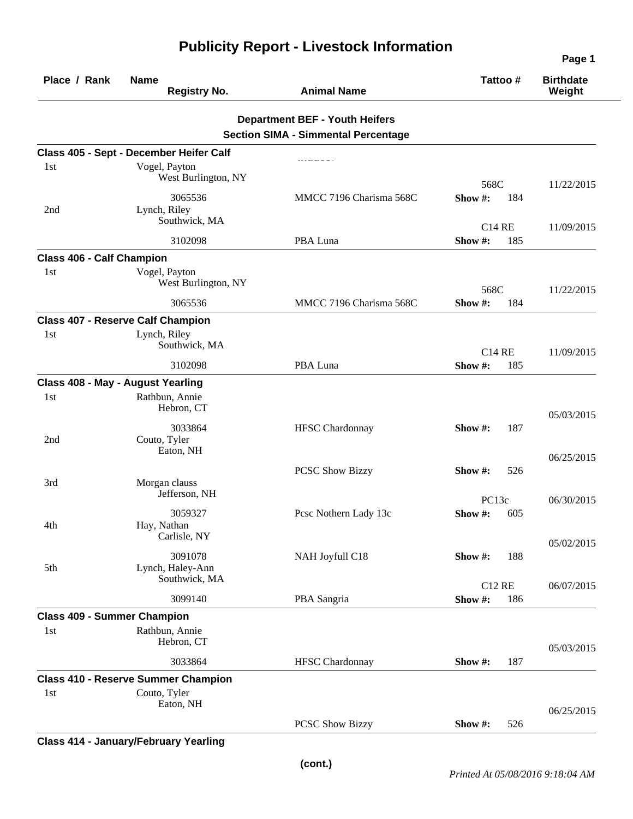| Place / Rank                       | <b>Name</b><br><b>Registry No.</b>         | <b>Animal Name</b>                         | Tattoo#               | <b>Birthdate</b><br>Weight |
|------------------------------------|--------------------------------------------|--------------------------------------------|-----------------------|----------------------------|
|                                    |                                            | <b>Department BEF - Youth Heifers</b>      |                       |                            |
|                                    |                                            | <b>Section SIMA - Simmental Percentage</b> |                       |                            |
|                                    | Class 405 - Sept - December Heifer Calf    |                                            |                       |                            |
| 1st                                | Vogel, Payton                              |                                            |                       |                            |
|                                    | West Burlington, NY                        |                                            |                       |                            |
|                                    | 3065536                                    | MMCC 7196 Charisma 568C                    | 568C<br>Show#:<br>184 | 11/22/2015                 |
| 2nd                                | Lynch, Riley                               |                                            |                       |                            |
|                                    | Southwick, MA                              |                                            | <b>C14 RE</b>         |                            |
|                                    | 3102098                                    | PBA Luna                                   | Show#:<br>185         | 11/09/2015                 |
| <b>Class 406 - Calf Champion</b>   |                                            |                                            |                       |                            |
| 1st                                | Vogel, Payton                              |                                            |                       |                            |
|                                    | West Burlington, NY                        |                                            |                       |                            |
|                                    |                                            | MMCC 7196 Charisma 568C                    | 568C<br>Show #:       | 11/22/2015                 |
|                                    | 3065536                                    |                                            | 184                   |                            |
|                                    | <b>Class 407 - Reserve Calf Champion</b>   |                                            |                       |                            |
| 1st                                | Lynch, Riley<br>Southwick, MA              |                                            |                       |                            |
|                                    |                                            |                                            | <b>C14 RE</b>         | 11/09/2015                 |
|                                    | 3102098                                    | PBA Luna                                   | Show #:<br>185        |                            |
|                                    | Class 408 - May - August Yearling          |                                            |                       |                            |
| 1st                                | Rathbun, Annie                             |                                            |                       |                            |
|                                    | Hebron, CT                                 |                                            |                       | 05/03/2015                 |
|                                    | 3033864                                    | <b>HFSC</b> Chardonnay                     | Show#:<br>187         |                            |
| 2nd                                | Couto, Tyler<br>Eaton, NH                  |                                            |                       |                            |
|                                    |                                            |                                            |                       | 06/25/2015                 |
|                                    |                                            | <b>PCSC Show Bizzy</b>                     | 526<br>Show $\#$ :    |                            |
| 3rd                                | Morgan clauss<br>Jefferson, NH             |                                            |                       |                            |
|                                    |                                            |                                            | PC13c                 | 06/30/2015                 |
|                                    | 3059327<br>Hay, Nathan                     | Pcsc Nothern Lady 13c                      | Show #:<br>605        |                            |
| 4th                                | Carlisle, NY                               |                                            |                       |                            |
|                                    | 3091078                                    |                                            |                       | 05/02/2015                 |
| 5th                                | Lynch, Haley-Ann                           | NAH Joyfull C18                            | Show #:<br>188        |                            |
|                                    | Southwick, MA                              |                                            | <b>C12 RE</b>         | 06/07/2015                 |
|                                    | 3099140                                    | PBA Sangria                                | Show#:<br>186         |                            |
|                                    |                                            |                                            |                       |                            |
| <b>Class 409 - Summer Champion</b> | Rathbun, Annie                             |                                            |                       |                            |
| 1st                                | Hebron, CT                                 |                                            |                       |                            |
|                                    |                                            |                                            |                       | 05/03/2015                 |
|                                    | 3033864                                    | <b>HFSC</b> Chardonnay                     | 187<br>Show #:        |                            |
|                                    | <b>Class 410 - Reserve Summer Champion</b> |                                            |                       |                            |
| 1st                                | Couto, Tyler<br>Eaton, NH                  |                                            |                       |                            |
|                                    |                                            |                                            |                       | 06/25/2015                 |
|                                    |                                            | <b>PCSC Show Bizzy</b>                     | Show #:<br>526        |                            |
|                                    |                                            |                                            |                       |                            |

## **Publicity Report - Livestock Information**

**Class 414 - January/February Yearling** 

**Page 1**